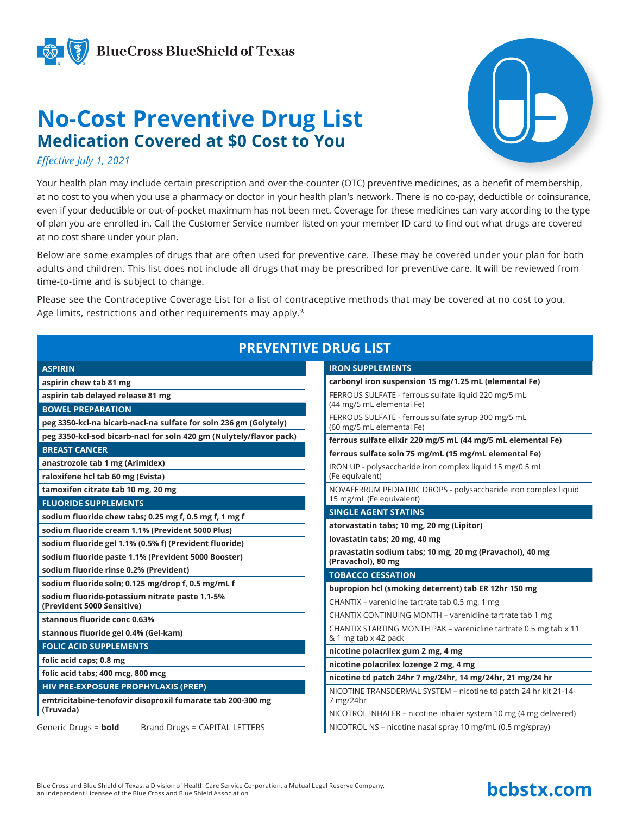

**BlueCross BlueShield of Texas** 

## **No-Cost Preventive Drug List Medication Covered at \$0 Cost to You**



*Effective July 1, 2021*

Your health plan may include certain prescription and over-the-counter (OTC) preventive medicines, as a benefit of membership, at no cost to you when you use a pharmacy or doctor in your health plan's network. There is no co-pay, deductible or coinsurance, even if your deductible or out-of-pocket maximum has not been met. Coverage for these medicines can vary according to the type of plan you are enrolled in. Call the Customer Service number listed on your member ID card to find out what drugs are covered at no cost share under your plan.

Below are some examples of drugs that are often used for preventive care. These may be covered under your plan for both adults and children. This list does not include all drugs that may be prescribed for preventive care. It will be reviewed from time-to-time and is subject to change.

Please see the Contraceptive Coverage List for a list of contraceptive methods that may be covered at no cost to you. Age limits, restrictions and other requirements may apply.\*

## **PREVENTIVE DRUG LIST**

| <b>ASPIRIN</b>                                                               | <b>IRON SUPPLEMENTS</b>                                                                   |
|------------------------------------------------------------------------------|-------------------------------------------------------------------------------------------|
| aspirin chew tab 81 mg                                                       | carbonyl iron suspension 15 mg/1.25 mL (elemental Fe)                                     |
| aspirin tab delayed release 81 mg                                            | FERROUS SULFATE - ferrous sulfate liquid 220 mg/5 mL                                      |
| <b>BOWEL PREPARATION</b>                                                     | (44 mg/5 mL elemental Fe)                                                                 |
| peg 3350-kcl-na bicarb-nacl-na sulfate for soln 236 gm (Golytely)            | FERROUS SULFATE - ferrous sulfate syrup 300 mg/5 mL<br>(60 mg/5 mL elemental Fe)          |
| peg 3350-kcl-sod bicarb-nacl for soln 420 gm (Nulytely/flavor pack)          | ferrous sulfate elixir 220 mg/5 mL (44 mg/5 mL elemental Fe)                              |
| <b>BREAST CANCER</b>                                                         | ferrous sulfate soln 75 mg/mL (15 mg/mL elemental Fe)                                     |
| anastrozole tab 1 mg (Arimidex)                                              | IRON UP - polysaccharide iron complex liquid 15 mg/0.5 mL                                 |
| raloxifene hcl tab 60 mg (Evista)                                            | (Fe equivalent)                                                                           |
| tamoxifen citrate tab 10 mg, 20 mg                                           | NOVAFERRUM PEDIATRIC DROPS - polysaccharide iron complex liquid                           |
| <b>FLUORIDE SUPPLEMENTS</b>                                                  | 15 mg/mL (Fe equivalent)                                                                  |
| sodium fluoride chew tabs; 0.25 mg f, 0.5 mg f, 1 mg f                       | <b>SINGLE AGENT STATINS</b>                                                               |
| sodium fluoride cream 1.1% (Prevident 5000 Plus)                             | atorvastatin tabs; 10 mg, 20 mg (Lipitor)                                                 |
| sodium fluoride gel 1.1% (0.5% f) (Prevident fluoride)                       | lovastatin tabs; 20 mg, 40 mg                                                             |
| sodium fluoride paste 1.1% (Prevident 5000 Booster)                          | pravastatin sodium tabs; 10 mg, 20 mg (Pravachol), 40 mg<br>(Pravachol), 80 mg            |
| sodium fluoride rinse 0.2% (Prevident)                                       | <b>TOBACCO CESSATION</b>                                                                  |
| sodium fluoride soln; 0.125 mg/drop f, 0.5 mg/mL f                           | bupropion hcl (smoking deterrent) tab ER 12hr 150 mg                                      |
| sodium fluoride-potassium nitrate paste 1.1-5%<br>(Prevident 5000 Sensitive) | CHANTIX - varenicline tartrate tab 0.5 mg, 1 mg                                           |
| stannous fluoride conc 0.63%                                                 | CHANTIX CONTINUING MONTH - varenicline tartrate tab 1 mg                                  |
| stannous fluoride gel 0.4% (Gel-kam)                                         | CHANTIX STARTING MONTH PAK - varenicline tartrate 0.5 mg tab x 11<br>& 1 mg tab x 42 pack |
| <b>FOLIC ACID SUPPLEMENTS</b>                                                | nicotine polacrilex gum 2 mg, 4 mg                                                        |
| folic acid caps; 0.8 mg                                                      | nicotine polacrilex lozenge 2 mg, 4 mg                                                    |
| folic acid tabs; 400 mcg, 800 mcg                                            | nicotine td patch 24hr 7 mg/24hr, 14 mg/24hr, 21 mg/24 hr                                 |
| HIV PRE-EXPOSURE PROPHYLAXIS (PREP)                                          | NICOTINE TRANSDERMAL SYSTEM - nicotine td patch 24 hr kit 21-14-                          |
| emtricitabine-tenofovir disoproxil fumarate tab 200-300 mg                   | 7 mg/24hr                                                                                 |
| (Truvada)                                                                    | NICOTROL INHALER - nicotine inhaler system 10 mg (4 mg delivered)                         |
| Generic Drugs = bold<br>Brand Drugs = CAPITAL LETTERS                        | NICOTROL NS - nicotine nasal spray 10 mg/mL (0.5 mg/spray)                                |